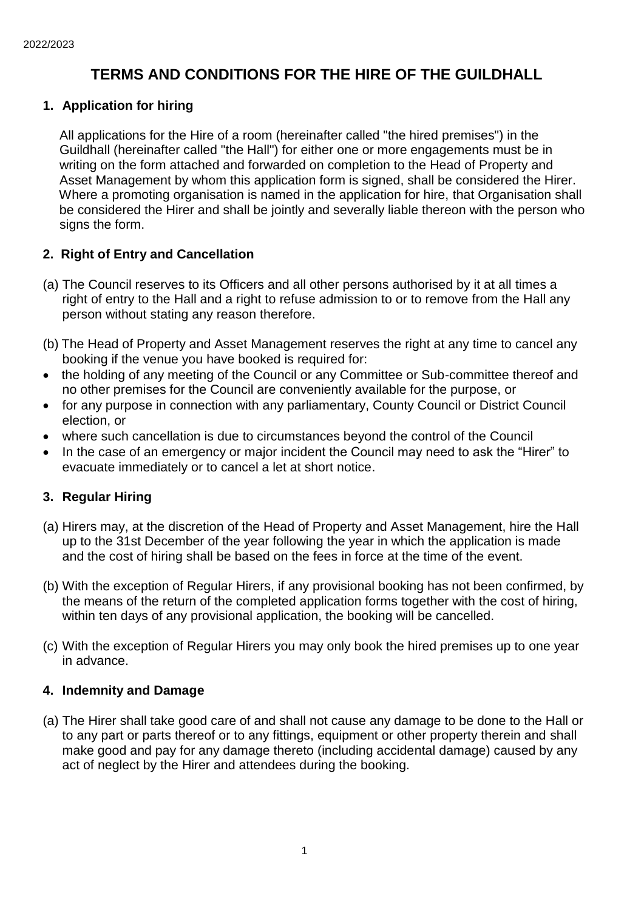# **TERMS AND CONDITIONS FOR THE HIRE OF THE GUILDHALL**

## **1. Application for hiring**

 All applications for the Hire of a room (hereinafter called "the hired premises") in the Guildhall (hereinafter called "the Hall") for either one or more engagements must be in writing on the form attached and forwarded on completion to the Head of Property and Asset Management by whom this application form is signed, shall be considered the Hirer. Where a promoting organisation is named in the application for hire, that Organisation shall be considered the Hirer and shall be jointly and severally liable thereon with the person who signs the form.

## **2. Right of Entry and Cancellation**

- (a) The Council reserves to its Officers and all other persons authorised by it at all times a right of entry to the Hall and a right to refuse admission to or to remove from the Hall any person without stating any reason therefore.
- (b) The Head of Property and Asset Management reserves the right at any time to cancel any booking if the venue you have booked is required for:
- the holding of any meeting of the Council or any Committee or Sub-committee thereof and no other premises for the Council are conveniently available for the purpose, or
- for any purpose in connection with any parliamentary, County Council or District Council election, or
- where such cancellation is due to circumstances beyond the control of the Council
- In the case of an emergency or major incident the Council may need to ask the "Hirer" to evacuate immediately or to cancel a let at short notice.

## **3. Regular Hiring**

- (a) Hirers may, at the discretion of the Head of Property and Asset Management, hire the Hall up to the 31st December of the year following the year in which the application is made and the cost of hiring shall be based on the fees in force at the time of the event.
- (b) With the exception of Regular Hirers, if any provisional booking has not been confirmed, by the means of the return of the completed application forms together with the cost of hiring, within ten days of any provisional application, the booking will be cancelled.
- (c) With the exception of Regular Hirers you may only book the hired premises up to one year in advance.

## **4. Indemnity and Damage**

(a) The Hirer shall take good care of and shall not cause any damage to be done to the Hall or to any part or parts thereof or to any fittings, equipment or other property therein and shall make good and pay for any damage thereto (including accidental damage) caused by any act of neglect by the Hirer and attendees during the booking.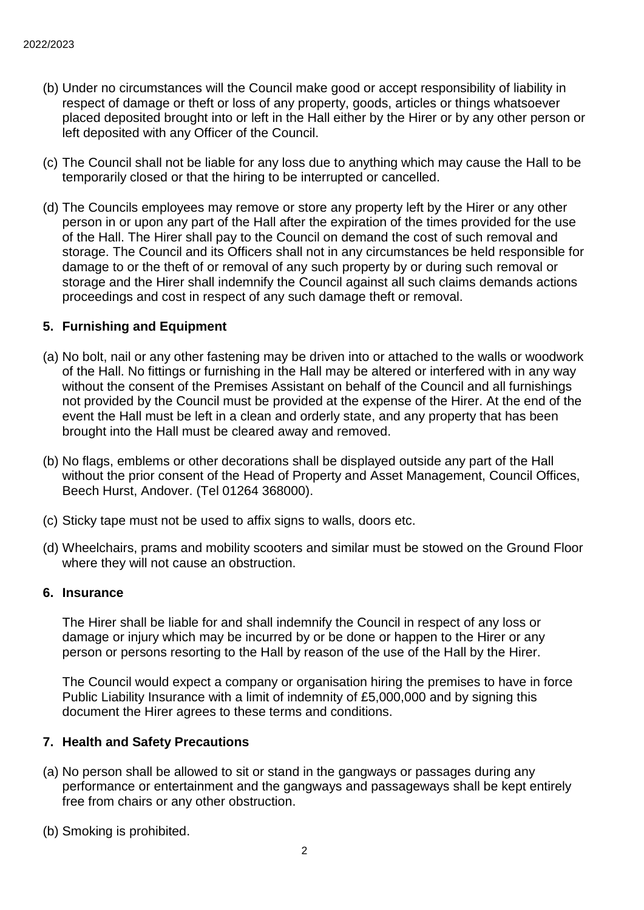- (b) Under no circumstances will the Council make good or accept responsibility of liability in respect of damage or theft or loss of any property, goods, articles or things whatsoever placed deposited brought into or left in the Hall either by the Hirer or by any other person or left deposited with any Officer of the Council.
- (c) The Council shall not be liable for any loss due to anything which may cause the Hall to be temporarily closed or that the hiring to be interrupted or cancelled.
- (d) The Councils employees may remove or store any property left by the Hirer or any other person in or upon any part of the Hall after the expiration of the times provided for the use of the Hall. The Hirer shall pay to the Council on demand the cost of such removal and storage. The Council and its Officers shall not in any circumstances be held responsible for damage to or the theft of or removal of any such property by or during such removal or storage and the Hirer shall indemnify the Council against all such claims demands actions proceedings and cost in respect of any such damage theft or removal.

### **5. Furnishing and Equipment**

- (a) No bolt, nail or any other fastening may be driven into or attached to the walls or woodwork of the Hall. No fittings or furnishing in the Hall may be altered or interfered with in any way without the consent of the Premises Assistant on behalf of the Council and all furnishings not provided by the Council must be provided at the expense of the Hirer. At the end of the event the Hall must be left in a clean and orderly state, and any property that has been brought into the Hall must be cleared away and removed.
- (b) No flags, emblems or other decorations shall be displayed outside any part of the Hall without the prior consent of the Head of Property and Asset Management, Council Offices, Beech Hurst, Andover. (Tel 01264 368000).
- (c) Sticky tape must not be used to affix signs to walls, doors etc.
- (d) Wheelchairs, prams and mobility scooters and similar must be stowed on the Ground Floor where they will not cause an obstruction.

#### **6. Insurance**

The Hirer shall be liable for and shall indemnify the Council in respect of any loss or damage or injury which may be incurred by or be done or happen to the Hirer or any person or persons resorting to the Hall by reason of the use of the Hall by the Hirer.

The Council would expect a company or organisation hiring the premises to have in force Public Liability Insurance with a limit of indemnity of £5,000,000 and by signing this document the Hirer agrees to these terms and conditions.

### **7. Health and Safety Precautions**

- (a) No person shall be allowed to sit or stand in the gangways or passages during any performance or entertainment and the gangways and passageways shall be kept entirely free from chairs or any other obstruction.
- (b) Smoking is prohibited.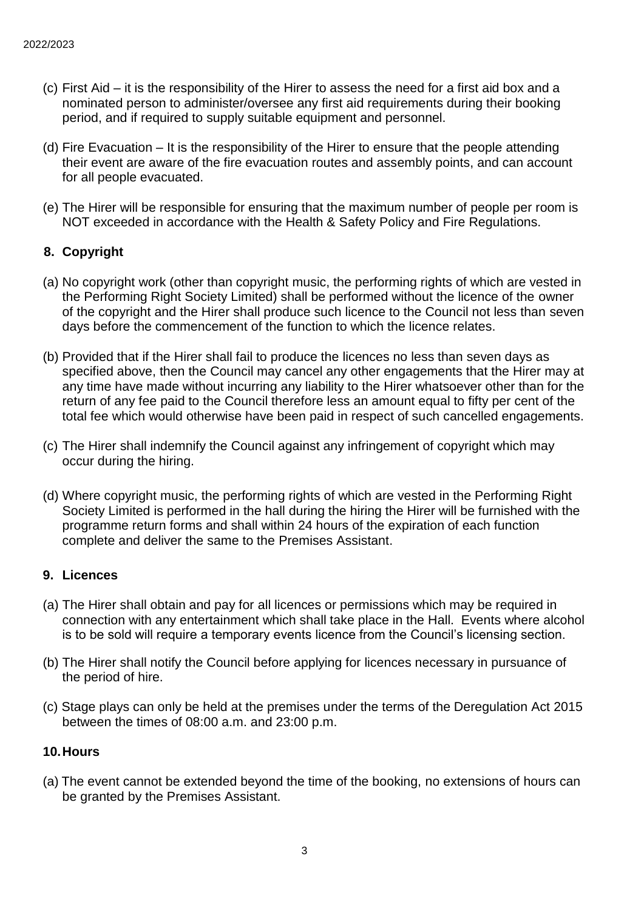- (c) First Aid it is the responsibility of the Hirer to assess the need for a first aid box and a nominated person to administer/oversee any first aid requirements during their booking period, and if required to supply suitable equipment and personnel.
- (d) Fire Evacuation It is the responsibility of the Hirer to ensure that the people attending their event are aware of the fire evacuation routes and assembly points, and can account for all people evacuated.
- (e) The Hirer will be responsible for ensuring that the maximum number of people per room is NOT exceeded in accordance with the Health & Safety Policy and Fire Regulations.

## **8. Copyright**

- (a) No copyright work (other than copyright music, the performing rights of which are vested in the Performing Right Society Limited) shall be performed without the licence of the owner of the copyright and the Hirer shall produce such licence to the Council not less than seven days before the commencement of the function to which the licence relates.
- (b) Provided that if the Hirer shall fail to produce the licences no less than seven days as specified above, then the Council may cancel any other engagements that the Hirer may at any time have made without incurring any liability to the Hirer whatsoever other than for the return of any fee paid to the Council therefore less an amount equal to fifty per cent of the total fee which would otherwise have been paid in respect of such cancelled engagements.
- (c) The Hirer shall indemnify the Council against any infringement of copyright which may occur during the hiring.
- (d) Where copyright music, the performing rights of which are vested in the Performing Right Society Limited is performed in the hall during the hiring the Hirer will be furnished with the programme return forms and shall within 24 hours of the expiration of each function complete and deliver the same to the Premises Assistant.

### **9. Licences**

- (a) The Hirer shall obtain and pay for all licences or permissions which may be required in connection with any entertainment which shall take place in the Hall. Events where alcohol is to be sold will require a temporary events licence from the Council's licensing section.
- (b) The Hirer shall notify the Council before applying for licences necessary in pursuance of the period of hire.
- (c) Stage plays can only be held at the premises under the terms of the Deregulation Act 2015 between the times of 08:00 a.m. and 23:00 p.m.

### **10.Hours**

(a) The event cannot be extended beyond the time of the booking, no extensions of hours can be granted by the Premises Assistant.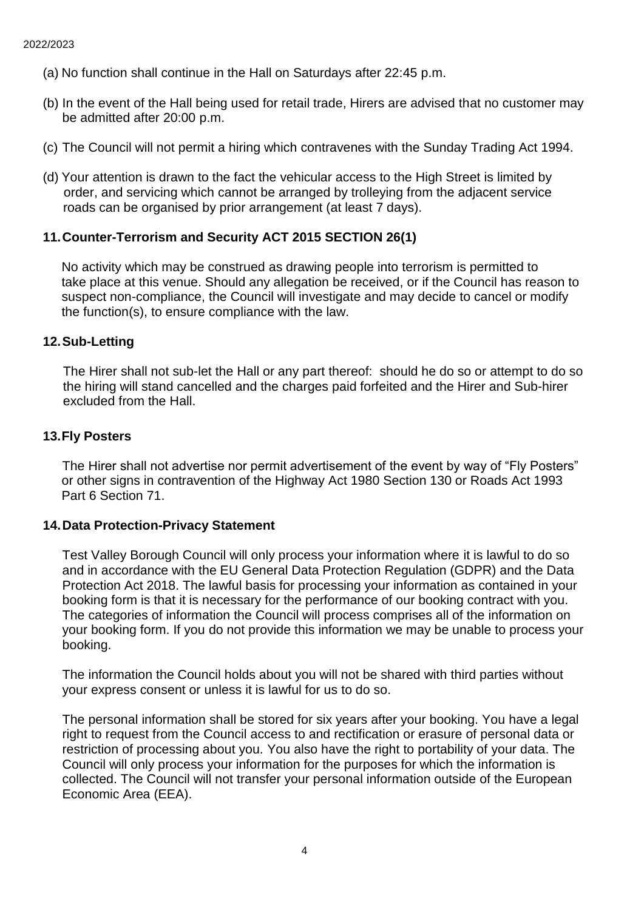- (a) No function shall continue in the Hall on Saturdays after 22:45 p.m.
- (b) In the event of the Hall being used for retail trade, Hirers are advised that no customer may be admitted after 20:00 p.m.
- (c) The Council will not permit a hiring which contravenes with the Sunday Trading Act 1994.
- (d) Your attention is drawn to the fact the vehicular access to the High Street is limited by order, and servicing which cannot be arranged by trolleying from the adjacent service roads can be organised by prior arrangement (at least 7 days).

### **11.Counter-Terrorism and Security ACT 2015 SECTION 26(1)**

No activity which may be construed as drawing people into terrorism is permitted to take place at this venue. Should any allegation be received, or if the Council has reason to suspect non-compliance, the Council will investigate and may decide to cancel or modify the function(s), to ensure compliance with the law.

#### **12.Sub-Letting**

 The Hirer shall not sub-let the Hall or any part thereof: should he do so or attempt to do so the hiring will stand cancelled and the charges paid forfeited and the Hirer and Sub-hirer excluded from the Hall.

#### **13.Fly Posters**

The Hirer shall not advertise nor permit advertisement of the event by way of "Fly Posters" or other signs in contravention of the Highway Act 1980 Section 130 or Roads Act 1993 Part 6 Section 71.

#### **14.Data Protection-Privacy Statement**

Test Valley Borough Council will only process your information where it is lawful to do so and in accordance with the EU General Data Protection Regulation (GDPR) and the Data Protection Act 2018. The lawful basis for processing your information as contained in your booking form is that it is necessary for the performance of our booking contract with you. The categories of information the Council will process comprises all of the information on your booking form. If you do not provide this information we may be unable to process your booking.

The information the Council holds about you will not be shared with third parties without your express consent or unless it is lawful for us to do so.

The personal information shall be stored for six years after your booking. You have a legal right to request from the Council access to and rectification or erasure of personal data or restriction of processing about you. You also have the right to portability of your data. The Council will only process your information for the purposes for which the information is collected. The Council will not transfer your personal information outside of the European Economic Area (EEA).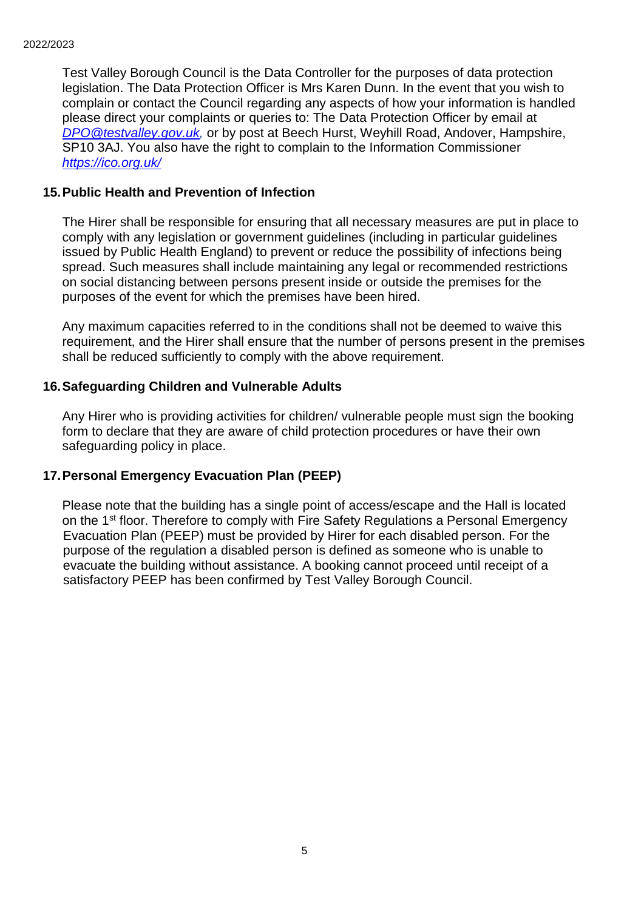Test Valley Borough Council is the Data Controller for the purposes of data protection legislation. The Data Protection Officer is Mrs Karen Dunn. In the event that you wish to complain or contact the Council regarding any aspects of how your information is handled please direct your complaints or queries to: The Data Protection Officer by email at *[DPO@testvalley.gov.uk,](mailto:DPO@testvalley.gov.uk)* or by post at Beech Hurst, Weyhill Road, Andover, Hampshire, SP10 3AJ. You also have the right to complain to the Information Commissioner *<https://ico.org.uk/>*

### **15.Public Health and Prevention of Infection**

The Hirer shall be responsible for ensuring that all necessary measures are put in place to comply with any legislation or government guidelines (including in particular guidelines issued by Public Health England) to prevent or reduce the possibility of infections being spread. Such measures shall include maintaining any legal or recommended restrictions on social distancing between persons present inside or outside the premises for the purposes of the event for which the premises have been hired.

Any maximum capacities referred to in the conditions shall not be deemed to waive this requirement, and the Hirer shall ensure that the number of persons present in the premises shall be reduced sufficiently to comply with the above requirement.

### **16.Safeguarding Children and Vulnerable Adults**

Any Hirer who is providing activities for children/ vulnerable people must sign the booking form to declare that they are aware of child protection procedures or have their own safeguarding policy in place.

### **17.Personal Emergency Evacuation Plan (PEEP)**

Please note that the building has a single point of access/escape and the Hall is located on the 1<sup>st</sup> floor. Therefore to comply with Fire Safety Regulations a Personal Emergency Evacuation Plan (PEEP) must be provided by Hirer for each disabled person. For the purpose of the regulation a disabled person is defined as someone who is unable to evacuate the building without assistance. A booking cannot proceed until receipt of a satisfactory PEEP has been confirmed by Test Valley Borough Council.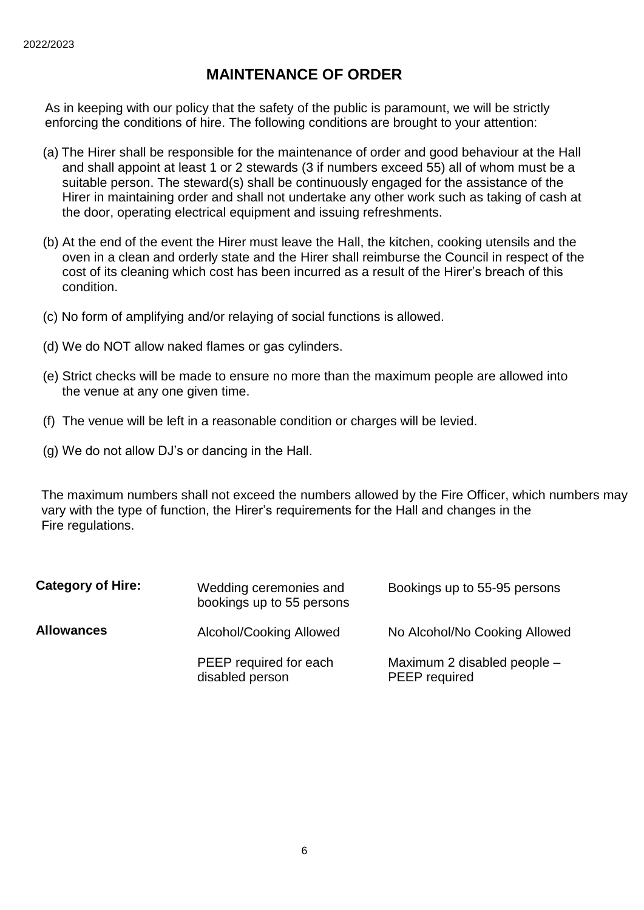# **MAINTENANCE OF ORDER**

 As in keeping with our policy that the safety of the public is paramount, we will be strictly enforcing the conditions of hire. The following conditions are brought to your attention:

- (a) The Hirer shall be responsible for the maintenance of order and good behaviour at the Hall and shall appoint at least 1 or 2 stewards (3 if numbers exceed 55) all of whom must be a suitable person. The steward(s) shall be continuously engaged for the assistance of the Hirer in maintaining order and shall not undertake any other work such as taking of cash at the door, operating electrical equipment and issuing refreshments.
- (b) At the end of the event the Hirer must leave the Hall, the kitchen, cooking utensils and the oven in a clean and orderly state and the Hirer shall reimburse the Council in respect of the cost of its cleaning which cost has been incurred as a result of the Hirer's breach of this condition.
- (c) No form of amplifying and/or relaying of social functions is allowed.
- (d) We do NOT allow naked flames or gas cylinders.
- (e) Strict checks will be made to ensure no more than the maximum people are allowed into the venue at any one given time.
- (f) The venue will be left in a reasonable condition or charges will be levied.
- (g) We do not allow DJ's or dancing in the Hall.

 The maximum numbers shall not exceed the numbers allowed by the Fire Officer, which numbers may vary with the type of function, the Hirer's requirements for the Hall and changes in the Fire regulations.

| <b>Category of Hire:</b> | Wedding ceremonies and<br>bookings up to 55 persons | Bookings up to 55-95 persons                 |
|--------------------------|-----------------------------------------------------|----------------------------------------------|
| <b>Allowances</b>        | Alcohol/Cooking Allowed                             | No Alcohol/No Cooking Allowed                |
|                          | PEEP required for each<br>disabled person           | Maximum 2 disabled people -<br>PEEP required |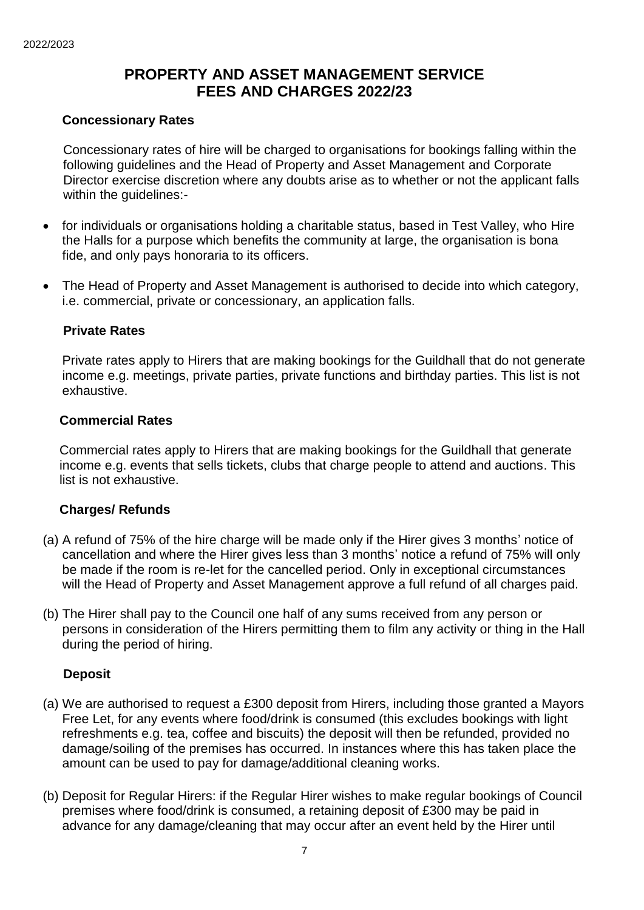# **PROPERTY AND ASSET MANAGEMENT SERVICE FEES AND CHARGES 2022/23**

### **Concessionary Rates**

 Concessionary rates of hire will be charged to organisations for bookings falling within the following guidelines and the Head of Property and Asset Management and Corporate Director exercise discretion where any doubts arise as to whether or not the applicant falls within the guidelines:-

- for individuals or organisations holding a charitable status, based in Test Valley, who Hire the Halls for a purpose which benefits the community at large, the organisation is bona fide, and only pays honoraria to its officers.
- The Head of Property and Asset Management is authorised to decide into which category, i.e. commercial, private or concessionary, an application falls.

### **Private Rates**

Private rates apply to Hirers that are making bookings for the Guildhall that do not generate income e.g. meetings, private parties, private functions and birthday parties. This list is not exhaustive.

### **Commercial Rates**

Commercial rates apply to Hirers that are making bookings for the Guildhall that generate income e.g. events that sells tickets, clubs that charge people to attend and auctions. This list is not exhaustive.

### **Charges/ Refunds**

- (a) A refund of 75% of the hire charge will be made only if the Hirer gives 3 months' notice of cancellation and where the Hirer gives less than 3 months' notice a refund of 75% will only be made if the room is re-let for the cancelled period. Only in exceptional circumstances will the Head of Property and Asset Management approve a full refund of all charges paid.
- (b) The Hirer shall pay to the Council one half of any sums received from any person or persons in consideration of the Hirers permitting them to film any activity or thing in the Hall during the period of hiring.

### **Deposit**

- (a) We are authorised to request a £300 deposit from Hirers, including those granted a Mayors Free Let, for any events where food/drink is consumed (this excludes bookings with light refreshments e.g. tea, coffee and biscuits) the deposit will then be refunded, provided no damage/soiling of the premises has occurred. In instances where this has taken place the amount can be used to pay for damage/additional cleaning works.
- (b) Deposit for Regular Hirers: if the Regular Hirer wishes to make regular bookings of Council premises where food/drink is consumed, a retaining deposit of £300 may be paid in advance for any damage/cleaning that may occur after an event held by the Hirer until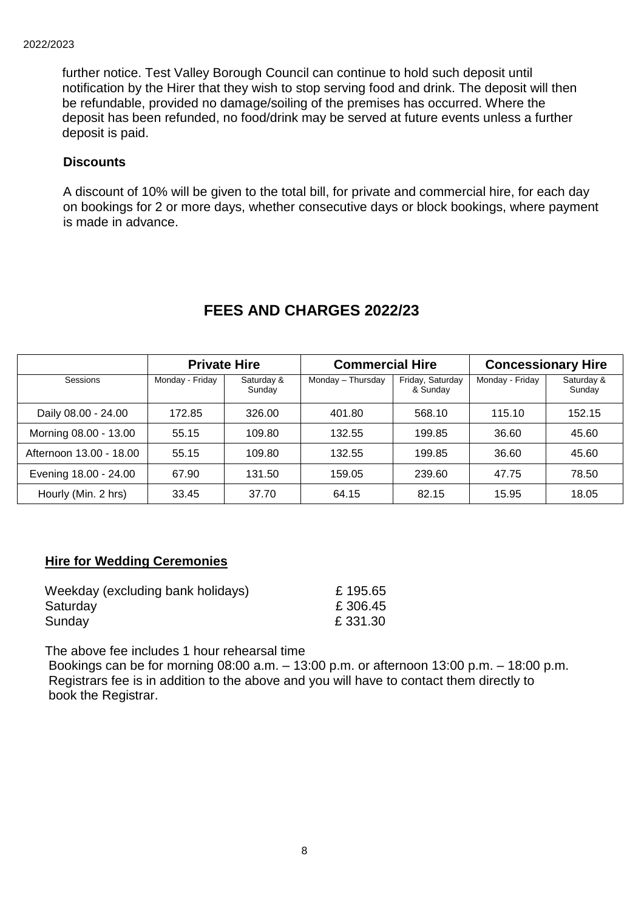further notice. Test Valley Borough Council can continue to hold such deposit until notification by the Hirer that they wish to stop serving food and drink. The deposit will then be refundable, provided no damage/soiling of the premises has occurred. Where the deposit has been refunded, no food/drink may be served at future events unless a further deposit is paid.

## **Discounts**

 A discount of 10% will be given to the total bill, for private and commercial hire, for each day on bookings for 2 or more days, whether consecutive days or block bookings, where payment is made in advance.

|                         | <b>Private Hire</b> |                      | <b>Commercial Hire</b> |                              | <b>Concessionary Hire</b> |                      |
|-------------------------|---------------------|----------------------|------------------------|------------------------------|---------------------------|----------------------|
| Sessions                | Monday - Friday     | Saturday &<br>Sunday | Monday - Thursday      | Friday, Saturday<br>& Sunday | Monday - Friday           | Saturday &<br>Sunday |
| Daily 08.00 - 24.00     | 172.85              | 326.00               | 401.80                 | 568.10                       | 115.10                    | 152.15               |
| Morning 08.00 - 13.00   | 55.15               | 109.80               | 132.55                 | 199.85                       | 36.60                     | 45.60                |
| Afternoon 13.00 - 18.00 | 55.15               | 109.80               | 132.55                 | 199.85                       | 36.60                     | 45.60                |
| Evening 18.00 - 24.00   | 67.90               | 131.50               | 159.05                 | 239.60                       | 47.75                     | 78.50                |
| Hourly (Min. 2 hrs)     | 33.45               | 37.70                | 64.15                  | 82.15                        | 15.95                     | 18.05                |

# **FEES AND CHARGES 2022/23**

### **Hire for Wedding Ceremonies**

| Weekday (excluding bank holidays) | £195.65  |
|-----------------------------------|----------|
| Saturday                          | £306.45  |
| Sunday                            | £ 331.30 |

The above fee includes 1 hour rehearsal time

 Bookings can be for morning 08:00 a.m. – 13:00 p.m. or afternoon 13:00 p.m. – 18:00 p.m. Registrars fee is in addition to the above and you will have to contact them directly to book the Registrar.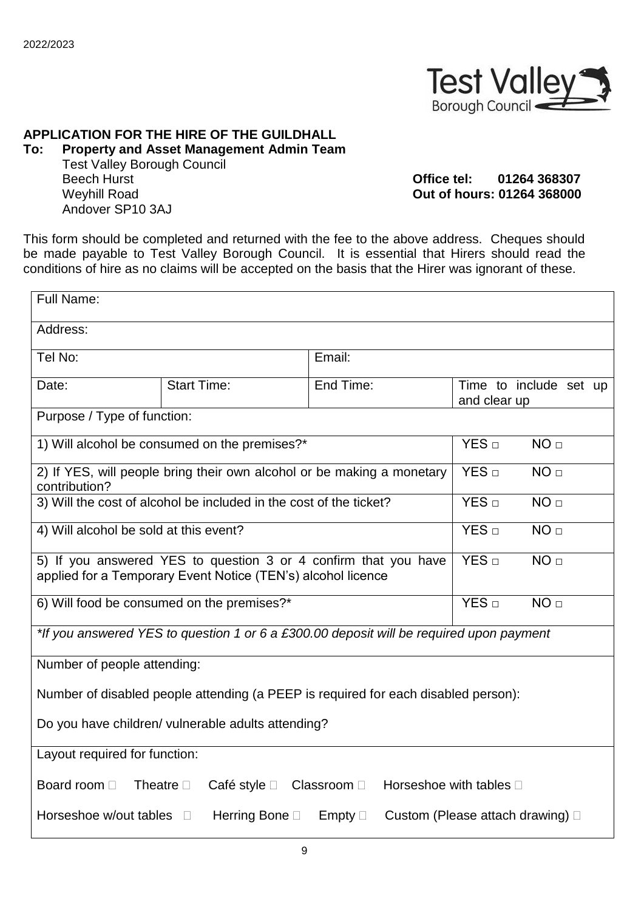

# **APPLICATION FOR THE HIRE OF THE GUILDHALL**

**To: Property and Asset Management Admin Team** Test Valley Borough Council Beech Hurst **Office tel: 01264 368307** Weyhill Road **Out of hours: 01264 368000** Andover SP10 3AJ

This form should be completed and returned with the fee to the above address. Cheques should be made payable to Test Valley Borough Council. It is essential that Hirers should read the conditions of hire as no claims will be accepted on the basis that the Hirer was ignorant of these.

| Full Name:                                                                                                                                                             |                    |                                     |                                        |  |
|------------------------------------------------------------------------------------------------------------------------------------------------------------------------|--------------------|-------------------------------------|----------------------------------------|--|
| Address:                                                                                                                                                               |                    |                                     |                                        |  |
| Tel No:                                                                                                                                                                |                    | Email:                              |                                        |  |
| Date:                                                                                                                                                                  | <b>Start Time:</b> | End Time:                           | Time to include set up<br>and clear up |  |
| Purpose / Type of function:                                                                                                                                            |                    |                                     |                                        |  |
| 1) Will alcohol be consumed on the premises?*                                                                                                                          |                    | YES D<br>NO <sub>□</sub>            |                                        |  |
| 2) If YES, will people bring their own alcohol or be making a monetary<br>contribution?                                                                                |                    |                                     | YES <sub>□</sub><br>NO <sub>□</sub>    |  |
| 3) Will the cost of alcohol be included in the cost of the ticket?                                                                                                     |                    | YES D<br>NO <sub>□</sub>            |                                        |  |
| 4) Will alcohol be sold at this event?                                                                                                                                 |                    | YES <sub>□</sub><br>NO <sub>□</sub> |                                        |  |
| 5) If you answered YES to question 3 or 4 confirm that you have<br>YES <sub>□</sub><br>NO <sub>□</sub><br>applied for a Temporary Event Notice (TEN's) alcohol licence |                    |                                     |                                        |  |
| 6) Will food be consumed on the premises?*                                                                                                                             |                    |                                     | YES D<br>NO <sub>□</sub>               |  |
| *If you answered YES to question 1 or 6 a £300.00 deposit will be required upon payment                                                                                |                    |                                     |                                        |  |
| Number of people attending:                                                                                                                                            |                    |                                     |                                        |  |
| Number of disabled people attending (a PEEP is required for each disabled person):                                                                                     |                    |                                     |                                        |  |
| Do you have children/ vulnerable adults attending?                                                                                                                     |                    |                                     |                                        |  |
| Layout required for function:                                                                                                                                          |                    |                                     |                                        |  |
| Board room D<br>Horseshoe with tables $\square$<br>Theatre $\square$<br>Café style $\square$<br>Classroom D                                                            |                    |                                     |                                        |  |
| Horseshoe w/out tables<br>Herring Bone □<br>Empty $\Box$<br>Custom (Please attach drawing) $\Box$<br>$\Box$                                                            |                    |                                     |                                        |  |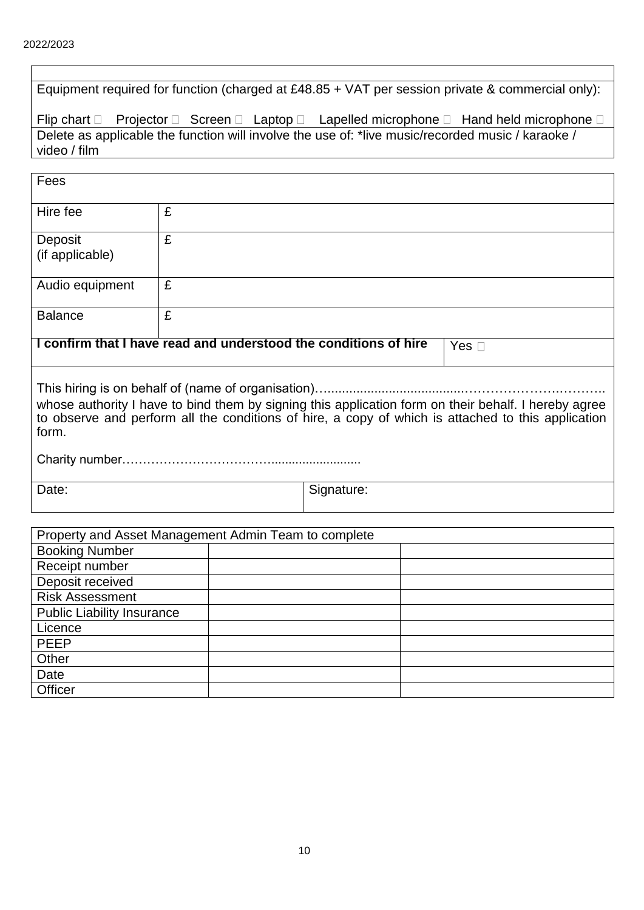| Equipment required for function (charged at £48.85 + VAT per session private & commercial only):            |                                                                                                   |            |                                                                            |
|-------------------------------------------------------------------------------------------------------------|---------------------------------------------------------------------------------------------------|------------|----------------------------------------------------------------------------|
| Flip chart $\square$                                                                                        |                                                                                                   |            | Projector □ Screen □ Laptop □ Lapelled microphone □ Hand held microphone □ |
|                                                                                                             | Delete as applicable the function will involve the use of: *live music/recorded music / karaoke / |            |                                                                            |
| video / film                                                                                                |                                                                                                   |            |                                                                            |
|                                                                                                             |                                                                                                   |            |                                                                            |
| Fees                                                                                                        |                                                                                                   |            |                                                                            |
| Hire fee                                                                                                    | £                                                                                                 |            |                                                                            |
| Deposit                                                                                                     | £                                                                                                 |            |                                                                            |
| (if applicable)                                                                                             |                                                                                                   |            |                                                                            |
|                                                                                                             |                                                                                                   |            |                                                                            |
| Audio equipment                                                                                             | £                                                                                                 |            |                                                                            |
| <b>Balance</b>                                                                                              | £                                                                                                 |            |                                                                            |
|                                                                                                             | I confirm that I have read and understood the conditions of hire<br>Yes $\square$                 |            |                                                                            |
|                                                                                                             |                                                                                                   |            |                                                                            |
| whose authority I have to bind them by signing this application form on their behalf. I hereby agree        |                                                                                                   |            |                                                                            |
| to observe and perform all the conditions of hire, a copy of which is attached to this application<br>form. |                                                                                                   |            |                                                                            |
|                                                                                                             |                                                                                                   |            |                                                                            |
|                                                                                                             |                                                                                                   |            |                                                                            |
| Date:                                                                                                       |                                                                                                   | Signature: |                                                                            |
|                                                                                                             |                                                                                                   |            |                                                                            |
|                                                                                                             | Property and Asset Management Admin Team to complete                                              |            |                                                                            |
| Booking Number                                                                                              |                                                                                                   |            |                                                                            |
| Receipt number                                                                                              |                                                                                                   |            |                                                                            |
| Deposit received                                                                                            |                                                                                                   |            |                                                                            |
| <b>Risk Assessment</b>                                                                                      |                                                                                                   |            |                                                                            |
| <b>Public Liability Insurance</b>                                                                           |                                                                                                   |            |                                                                            |
| Licence                                                                                                     |                                                                                                   |            |                                                                            |
| <b>PEEP</b>                                                                                                 |                                                                                                   |            |                                                                            |
| Other                                                                                                       |                                                                                                   |            |                                                                            |
| Date                                                                                                        |                                                                                                   |            |                                                                            |
| Officer                                                                                                     |                                                                                                   |            |                                                                            |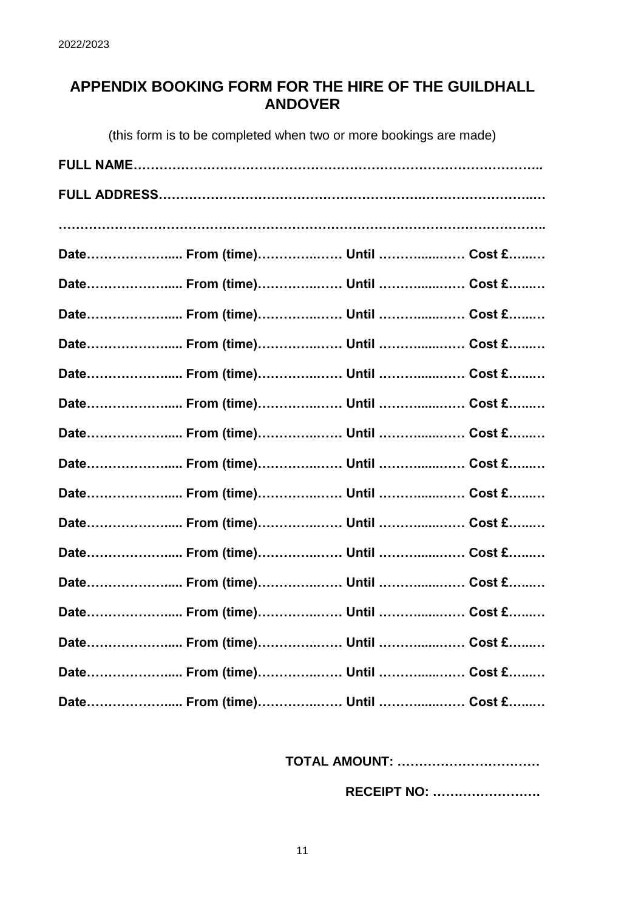# **APPENDIX BOOKING FORM FOR THE HIRE OF THE GUILDHALL ANDOVER**

(this form is to be completed when two or more bookings are made)

| Date From (time) Until  Cost £ |  |
|--------------------------------|--|
| Date From (time) Until  Cost £ |  |
| Date From (time) Until  Cost £ |  |
| Date From (time) Until  Cost £ |  |
| Date From (time) Until  Cost £ |  |
| Date From (time) Until  Cost £ |  |
| Date From (time) Until  Cost £ |  |
| Date From (time) Until  Cost £ |  |
| Date From (time) Until  Cost £ |  |
| Date From (time) Until  Cost £ |  |
| Date From (time) Until  Cost £ |  |
| Date From (time) Until  Cost £ |  |
| Date From (time) Until  Cost £ |  |
| Date From (time) Until  Cost £ |  |
| Date From (time) Until  Cost £ |  |
| Date From (time) Until  Cost £ |  |

 **TOTAL AMOUNT: ……………………………**

 **RECEIPT NO: …………………….**